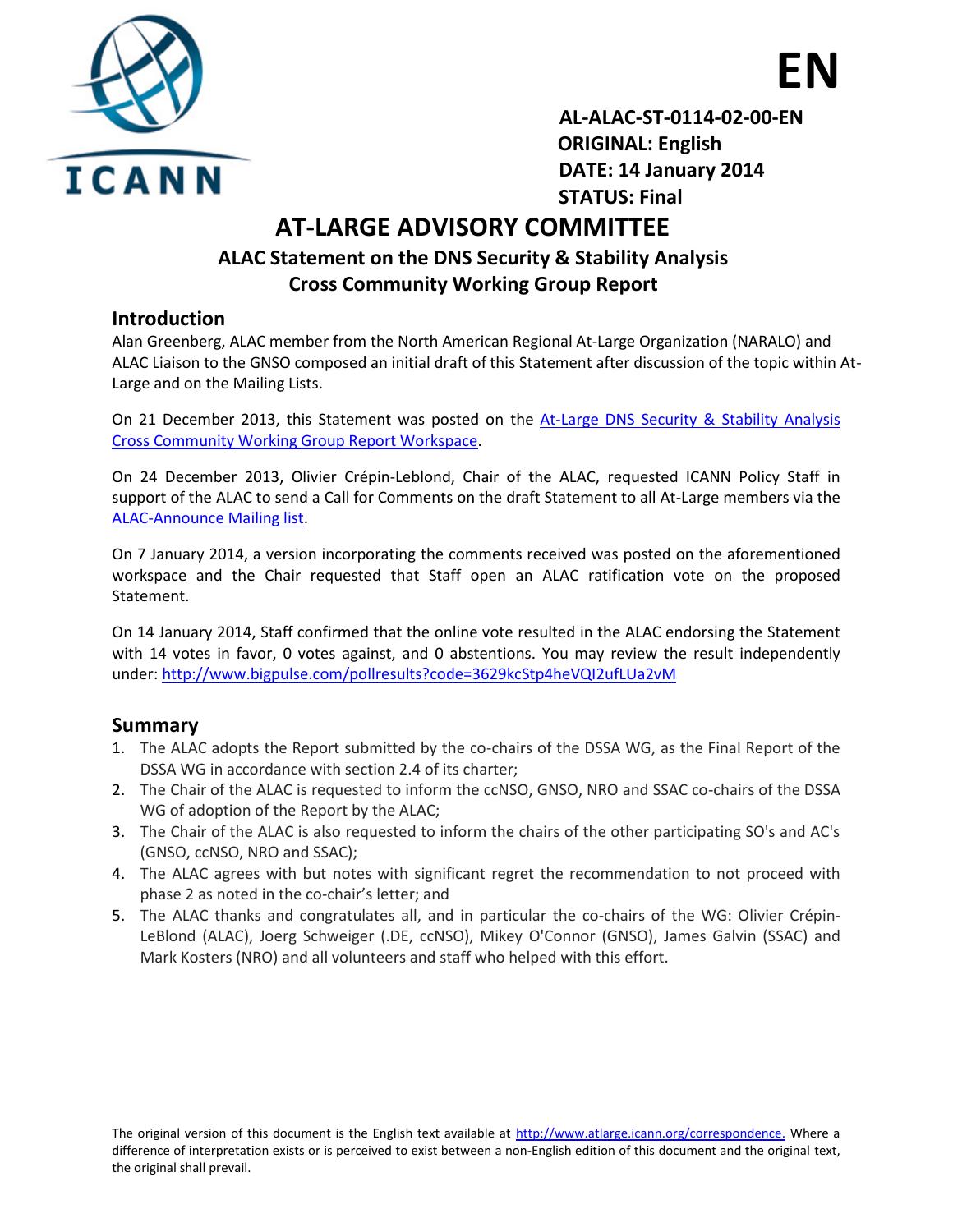

 **AL-ALAC-ST-0114-02-00-EN ORIGINAL: English DATE: 14 January 2014 STATUS: Final**

 **EN**

## **AT-LARGE ADVISORY COMMITTEE ALAC Statement on the DNS Security & Stability Analysis Cross Community Working Group Report**

### **Introduction**

Alan Greenberg, ALAC member from the North American Regional At-Large Organization (NARALO) and ALAC Liaison to the GNSO composed an initial draft of this Statement after discussion of the topic within At-Large and on the Mailing Lists.

On 21 December 2013, this Statement was posted on the [At-Large DNS Security & Stability Analysis](https://community.icann.org/x/szWfAg)  [Cross Community Working Group Report Workspace.](https://community.icann.org/x/szWfAg)

On 24 December 2013, Olivier Crépin-Leblond, Chair of the ALAC, requested ICANN Policy Staff in support of the ALAC to send a Call for Comments on the draft Statement to all At-Large members via the [ALAC-Announce Mailing list.](http://atlarge-lists.icann.org/pipermail/alac-announce_atlarge-lists.icann.org/2013q4/001399.html)

On 7 January 2014, a version incorporating the comments received was posted on the aforementioned workspace and the Chair requested that Staff open an ALAC ratification vote on the proposed Statement.

On 14 January 2014, Staff confirmed that the online vote resulted in the ALAC endorsing the Statement with 14 votes in favor, 0 votes against, and 0 abstentions. You may review the result independently under: <http://www.bigpulse.com/pollresults?code=3629kcStp4heVQI2ufLUa2vM>

## **Summary**

- 1. The ALAC adopts the Report submitted by the co-chairs of the DSSA WG, as the Final Report of the DSSA WG in accordance with section 2.4 of its charter;
- 2. The Chair of the ALAC is requested to inform the ccNSO, GNSO, NRO and SSAC co-chairs of the DSSA WG of adoption of the Report by the ALAC;
- 3. The Chair of the ALAC is also requested to inform the chairs of the other participating SO's and AC's (GNSO, ccNSO, NRO and SSAC);
- 4. The ALAC agrees with but notes with significant regret the recommendation to not proceed with phase 2 as noted in the co-chair's letter; and
- 5. The ALAC thanks and congratulates all, and in particular the co-chairs of the WG: Olivier Crépin-LeBlond (ALAC), Joerg Schweiger (.DE, ccNSO), Mikey O'Connor (GNSO), James Galvin (SSAC) and Mark Kosters (NRO) and all volunteers and staff who helped with this effort.